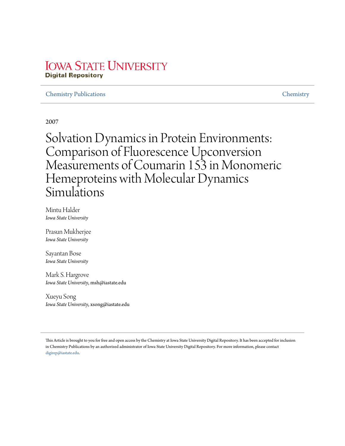# **IOWA STATE UNIVERSITY Digital Repository**

#### Chemistry Publications Chemistry

2007

Solvation Dynamics in Protein Environments: Comparison of Fluorescence Upconversion Measurements of Coumarin 153 in Monomeric Hemeproteins with Molecular Dynamics Simulations

Mintu Halder *Iowa State University*

Prasun Mukherjee *Iowa State University*

Sayantan Bose *Iowa State University*

Mark S. Hargrove *Iowa State University*, msh@iastate.edu

Xueyu Song *Iowa State University*, xsong@iastate.edu

This Article is brought to you for free and open access by the Chemistry at Iowa State University Digital Repository. It has been accepted for inclusion in Chemistry Publications by an authorized administrator of Iowa State University Digital Repository. For more information, please contact digirep@iastate.edu.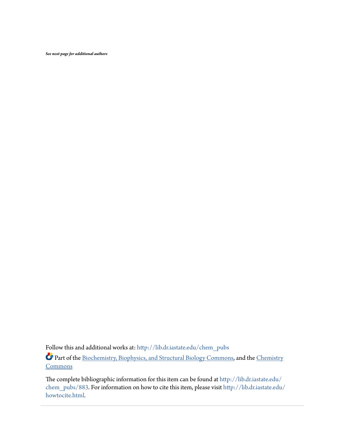*See next page for additional authors*

Follow this and additional works at: http://lib.dr.iastate.edu/chem\_pubs Part of the Biochemistry, Biophysics, and Structural Biology Commons, and the Chemistry **Commons** 

The complete bibliographic information for this item can be found at http://lib.dr.iastate.edu/ chem\_pubs/883. For information on how to cite this item, please visit http://lib.dr.iastate.edu/ howtocite.html.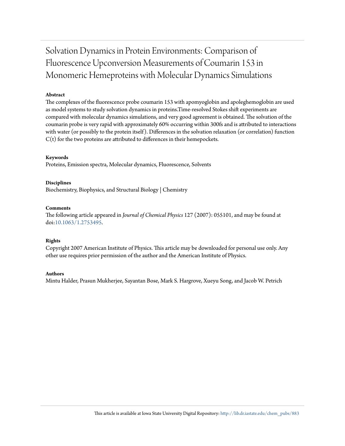# Solvation Dynamics in Protein Environments: Comparison of Fluorescence Upconversion Measurements of Coumarin 153 in Monomeric Hemeproteins with Molecular Dynamics Simulations

#### **Abstract**

The complexes of the fluorescence probe coumarin 153 with apomyoglobin and apoleghemoglobin are used as model systems to study solvation dynamics in proteins.Time-resolved Stokes shift experiments are compared with molecular dynamics simulations, and very good agreement is obtained. The solvation of the coumarin probe is very rapid with approximately 60% occurring within 300fs and is attributed to interactions with water (or possibly to the protein itself). Differences in the solvation relaxation (or correlation) function  $C(t)$  for the two proteins are attributed to differences in their hemepockets.

#### **Keywords**

Proteins, Emission spectra, Molecular dynamics, Fluorescence, Solvents

#### **Disciplines**

Biochemistry, Biophysics, and Structural Biology | Chemistry

#### **Comments**

The following article appeared in *Journal of Chemical Physics* 127 (2007): 055101, and may be found at doi:10.1063/1.2753495.

#### **Rights**

Copyright 2007 American Institute of Physics. This article may be downloaded for personal use only. Any other use requires prior permission of the author and the American Institute of Physics.

#### **Authors**

Mintu Halder, Prasun Mukherjee, Sayantan Bose, Mark S. Hargrove, Xueyu Song, and Jacob W. Petrich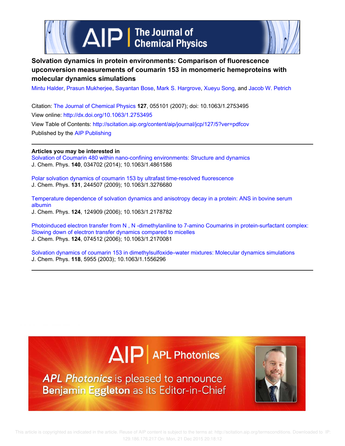



### **Solvation dynamics in protein environments: Comparison of fluorescence upconversion measurements of coumarin 153 in monomeric hemeproteins with molecular dynamics simulations**

Mintu Halder, Prasun Mukherjee, Sayantan Bose, Mark S. Hargrove, Xueyu Song, and Jacob W. Petrich

Citation: The Journal of Chemical Physics **127**, 055101 (2007); doi: 10.1063/1.2753495 View online: http://dx.doi.org/10.1063/1.2753495 View Table of Contents: http://scitation.aip.org/content/aip/journal/jcp/127/5?ver=pdfcov Published by the AIP Publishing

#### **Articles you may be interested in**

Solvation of Coumarin 480 within nano-confining environments: Structure and dynamics J. Chem. Phys. **140**, 034702 (2014); 10.1063/1.4861586

Polar solvation dynamics of coumarin 153 by ultrafast time-resolved fluorescence J. Chem. Phys. **131**, 244507 (2009); 10.1063/1.3276680

Temperature dependence of solvation dynamics and anisotropy decay in a protein: ANS in bovine serum albumin J. Chem. Phys. **124**, 124909 (2006); 10.1063/1.2178782

Photoinduced electron transfer from N , N -dimethylaniline to 7-amino Coumarins in protein-surfactant complex: Slowing down of electron transfer dynamics compared to micelles J. Chem. Phys. **124**, 074512 (2006); 10.1063/1.2170081

Solvation dynamics of coumarin 153 in dimethylsulfoxide–water mixtures: Molecular dynamics simulations J. Chem. Phys. **118**, 5955 (2003); 10.1063/1.1556296

# $\Delta$   $\vert P \vert$  APL Photonics

**APL Photonics** is pleased to announce Benjamin Eggleton as its Editor-in-Chief

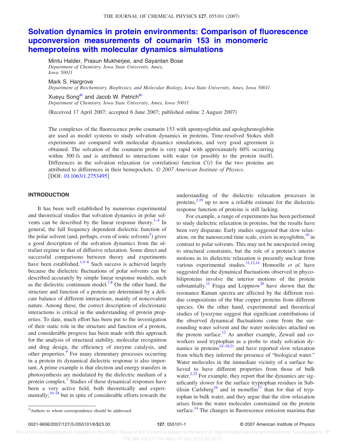## **Solvation dynamics in protein environments: Comparison of fluorescence upconversion measurements of coumarin 153 in monomeric hemeproteins with molecular dynamics simulations**

Mintu Halder, Prasun Mukherjee, and Sayantan Bose *Department of Chemistry, Iowa State University, Ames, Iowa 50011*

Mark S. Hargrove

*Department of Biochemistry, Biophysics, and Molecular Biology, Iowa State University, Ames, Iowa 50011*

Xueyu Song<sup>a)</sup> and Jacob W. Petrich<sup>a)</sup> *Department of Chemistry, Iowa State University, Ames, Iowa 50011*

Received 17 April 2007; accepted 6 June 2007; published online 2 August 2007-

The complexes of the fluorescence probe coumarin 153 with apomyoglobin and apoleghemoglobin are used as model systems to study solvation dynamics in proteins. Time-resolved Stokes shift experiments are compared with molecular dynamics simulations, and very good agreement is obtained. The solvation of the coumarin probe is very rapid with approximately 60% occurring within 300 fs and is attributed to interactions with water (or possibly to the protein itself). Differences in the solvation relaxation (or correlation) function  $C(t)$  for the two proteins are attributed to differences in their hemepockets. © *2007 American Institute of Physics*. [DOI: 10.1063/1.2753495]

#### **INTRODUCTION**

It has been well established by numerous experimental and theoretical studies that solvation dynamics in polar solvents can be described by the linear response theory. $1-4$  In general, the full frequency dependent dielectric function of the polar solvent (and, perhaps, even of ionic solvents<sup>5</sup>) gives a good description of the solvation dynamics from the ultrafast regime to that of diffusive relaxation. Some direct and successful comparisons between theory and experiments have been established.<sup>1,4-6</sup> Such success is achieved largely because the dielectric fluctuations of polar solvents can be described accurately by simple linear response models, such as the dielectric continuum model.<sup>7,8</sup> On the other hand, the structure and function of a protein are determined by a delicate balance of different interactions, mainly of noncovalent nature. Among these, the correct description of electrostatic interactions is critical in the understanding of protein properties. To date, much effort has been put to the investigation of their static role in the structure and function of a protein, and considerable progress has been made with this approach for the analysis of structural stability, molecular recognition and drug design, the efficiency of enzyme catalysis, and other properties.<sup>9</sup> For many elementary processes occurring in a protein its dynamical dielectric response is also important. A prime example is that electron and energy transfers in photosynthesis are modulated by the dielectric medium of a protein complex.<sup>7</sup> Studies of these dynamical responses have been a very active field, both theoretically and experimentally; $10-\frac{18}{18}$  but in spite of considerable efforts towards the

understanding of the dielectric relaxation processes in proteins, $2.19$  up to now a reliable estimate for the dielectric response function of proteins is still lacking.

For example, a range of experiments has been performed to study dielectric relaxation in proteins, but the results have been very disparate. Early studies suggested that slow relaxation, on the nanosecond time scale, exists in myoglobin, $\frac{10}{10}$  in contrast to polar solvents. This may not be unexpected owing to structural constraints, but the role of a protein's interior motions in its dielectric relaxation is presently unclear from various experimental studies.<sup>11,12,14</sup> Homoelle *et al.* have suggested that the dynamical fluctuations observed in phycobiliproteins involve the interior motions of the protein substantially.<sup>11</sup> Fraga and Loppnow<sup>20</sup> have shown that the resonance Raman spectra are affected by the different residue compositions of the blue copper proteins from different species. On the other hand, experimental and theoretical studies of lysozyme suggest that significant contributions of the observed dynamical fluctuations come from the surrounding water solvent and the water molecules attached on the protein surface.<sup>12</sup> As another example, Zewail and coworkers used tryptophan as a probe to study solvation dynamics in proteins $14-18,21$  and have reported slow relaxation from which they inferred the presence of "biological water." Water molecules in the immediate vicinity of a surface believed to have different properties from those of bulk water.<sup>2,22</sup> For example, they report that the dynamics are significantly slower for the surface tryptophan residues in Subtilisin Carlsberg<sup>16</sup> and in monellin<sup>17</sup> than for that of tryptophan in bulk water, and they argue that the slow relaxation arises from the water molecules constrained on the protein surface.<sup>14</sup> The changes in fluorescence emission maxima that

a) Authors to whom correspondence should be addressed.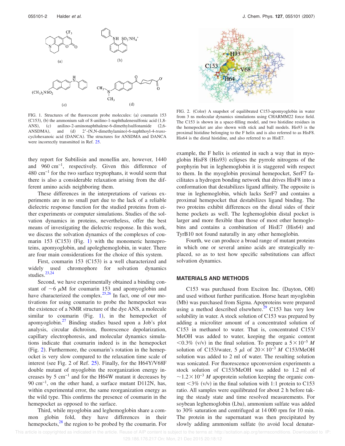



 $CH<sub>3</sub>$ 

they report for Subtilisin and monellin are, however, 1440 and 960 cm−1, respectively. Given this difference of 480 cm−1 for the two surface tryptophans, it would seem that there is also a considerable relaxation arising from the different amino acids neighboring them.

These differences in the interpretations of various experiments are in no small part due to the lack of a reliable dielectric response function for the studied proteins from either experiments or computer simulations. Studies of the solvation dynamics in proteins, nevertheless, offer the best means of investigating the dielectric response. In this work, we discuss the solvation dynamics of the complexes of coumarin 153 (C153) (Fig. 1) with the monomeric hemeproteins, apomyoglobin, and apoleghemoglobin, in water. There are four main considerations for the choice of this system.

First, coumarin 153 (C153) is a well characterized and used chromophore for solvation dynamics widely us<br>studies. $23,24$ 

Second, we have experimentally obtained a binding constant of  $\sim$ 6  $\mu$ M for coumarin 153 and apomyoglobin and have characterized the complex. $25,26$  In fact, one of our motivations for using coumarin to probe the hemepocket was the existence of a NMR structure of the dye ANS, a molecule similar to coumarin (Fig. 1), in the hemepocket of apomyoglobin.<sup>27</sup> Binding studies based upon a Job's plot analysis, circular dichroism, fluorescence depolarization, capillary electrophoresis, and molecular dynamics simulations indicate that coumarin indeed is in the hemepocket (Fig. 2). Furthermore, the coumarin's rotation in the hemepocket is very slow compared to the relaxation time scale of interest (see Fig. 2 of Ref.  $25$ ). Finally, for the H64Y/V68F double mutant of myoglobin the reorganization energy increases by 5 cm−1 and for the H64W mutant it decreases by 90 cm<sup>-1</sup>, on the other hand, a surface mutant D112N, has, within experimental error, the same reorganization energy as the wild type. This confirms the presence of coumarin in the hemepocket as opposed to the surface.

Third, while myoglobin and leghemoglobin share a common globin fold, they have differences in their hemepockets, $28$  the region to be probed by the coumarin. For



FIG. 2. (Color) A snapshot of equilibrated C153-apomyoglobin in water from 3 ns molecular dynamics simulations using CHARMM22 force field. The C153 is shown in a space-filling model, and two histidine residues in the hemepocket are also shown with stick and ball models. His93 is the proximal histidine belonging to the F helix and is also referred to as HisF8. His64 is the distal histidine, and also referred to as HisE7.

example, the F helix is oriented in such a way that in myoglobin HisF8 (His93) eclipses the pyrrole nitrogens of the porphyrin but in leghemoglobin it is staggered with respect to them. In the myoglobin proximal hemepocket, SerF7 facilitates a hydrogen bonding network that drives HisF8 into a conformation that destabilizes ligand affinity. The opposite is true in leghemoglobin, which lacks SerF7 and contains a proximal hemepocket that destabilizes ligand binding. The two proteins exhibit differences on the distal sides of their heme pockets as well. The leghemoglobin distal pocket is larger and more flexible than those of most other hemoglobins and contains a combination of HisE7 (His64) and TyrB10 not found naturally in any other hemoglobin.

Fourth, we can produce a broad range of mutant proteins in which one or several amino acids are strategically replaced, so as to test how specific substitutions can affect solvation dynamics.

#### **MATERIALS AND METHODS**

C153 was purchased from Exciton Inc. (Dayton, OH) and used without further purification. Horse heart myoglobin (Mb) was purchased from Sigma. Apoproteins were prepared using a method described elsewhere.<sup>29</sup> C153 has very low solubility in water. A stock solution of C153 was prepared by adding a microliter amount of a concentrated solution of C153 in methanol to water. That is, concentrated C153/ MeOH was added to water, keeping the organic content <0.3% (v/v) in the final solution. To prepare a  $5 \times 10^{-5}$  *M* solution of C153/water, 5 μl of 20×10<sup>-3</sup> *M* C153/MeOH solution was added to 2 ml of water. The resulting solution was sonicated. For fluorescence upconversion experiments a stock solution of C153/MeOH was added to 1.2 ml of  $\sim$ 1.2 $\times$ 10<sup>-3</sup> *M* apoprotein solution keeping the organic content  $\langle 3\% \, (\text{v/v}) \rangle$  in the final solution with 1:1 protein to C153 ratio. All samples were equilibrated for about 2 h before taking the steady state and time resolved measurements. For soybean leghemoglobin (Lba), ammonium sulfate was added to 30% saturation and centrifuged at 14 000 rpm for 10 min. The protein in the supernatant was then precipitated by slowly adding ammonium sulfate (to avoid local denatur-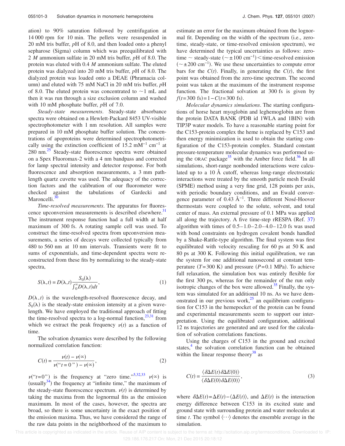ation) to 90% saturation followed by centrifugation at 14 000 rpm for 10 min. The pellets were resuspended in 20 mM tris buffer, *p*H of 8.0, and then loaded onto a phenyl sepharose (Sigma) column which was preequilibrated with 2 *M* ammonium sulfate in 20 mM tris buffer, *p*H of 8.0. The protein was eluted with 0.4 *M* ammonium sulfate. The eluted protein was dialyzed into 20 mM tris buffer, *p*H of 8.0. The dialyzed protein was loaded onto a DEAE (Phramacia column) and eluted with 75 mM NaCl in 20 mM tris buffer, pH of 8.0. The eluted protein was concentrated to  $\sim$ 1 mL and then it was run through a size exclusion column and washed with 10 mM phosphate buffer, *p*H of 7.0.

*Steady-state measurements*. Steady-state absorbance spectra were obtained on a Hewlett-Packard 8453 UV-visible spectrophotometer with 1 nm resolution. All samples were prepared in 10 mM phosphate buffer solution. The concentrations of apoproteins were determined spectrophotometrically using the extinction coefficient of 15.2 mM<sup>-1</sup> cm<sup>-1</sup> at 280 nm.<sup>25</sup> Steady-state fluorescence spectra were obtained on a Spex Fluoromax-2 with a 4 nm bandpass and corrected for lamp spectral intensity and detector response. For both fluorescence and absorption measurements, a 3 mm pathlength quartz cuvette was used. The adequacy of the correction factors and the calibration of our fluorometer were checked against the tabulations of Gardecki and Maroncelli.<sup>30</sup>

*Time-resolved measurements*. The apparatus for fluorescence upconversion measurements is described elsewhere.<sup>31</sup> The instrument response function had a full width at half maximum of 300 fs. A rotating sample cell was used. To construct the time-resolved spectra from upconversion measurements, a series of decays were collected typically from 480 to 560 nm at 10 nm intervals. Transients were fit to sums of exponentials, and time-dependent spectra were reconstructed from these fits by normalizing to the steady-state spectra,

$$
S(\lambda, t) = D(\lambda, t) \frac{S_0(\lambda)}{\int_0^\infty D(\lambda, t) dt},
$$
\n(1)

 $D(\lambda, t)$  is the wavelength-resolved fluorescence decay, and  $S_0(\lambda)$  is the steady-state emission intensity at a given wavelength. We have employed the traditional approach of fitting the time-resolved spectra to a log-normal function,  $23,31$  from which we extract the peak frequency  $v(t)$  as a function of time.

The solvation dynamics were described by the following normalized correlation function:

$$
C(t) = \frac{\nu(t) - \nu(\infty)}{\nu(\Upsilon + 0 \Upsilon) - \nu(\infty)},
$$
\n(2)

 $\nu("t=0")$  is the frequency at "zero time."<sup>5,32,33</sup>  $\nu(\infty)$  is (usually  $34$ ) the frequency at "infinite time," the maximum of the steady-state fluorescence spectrum.  $v(t)$  is determined by taking the maxima from the lognormal fits as the emission maximum. In most of the cases, however, the spectra are broad, so there is some uncertainty in the exact position of the emission maxima. Thus, we have considered the range of the raw data points in the neighborhood of the maximum to

estimate an error for the maximum obtained from the lognormal fit. Depending on the width of the spectrum (i.e., zerotime, steady-state, or time-resolved emission spectrum), we have determined the typical uncertainties as follows: zerotime  $\sim$  steady-state ( $\sim \pm 100 \text{ cm}^{-1}$ )  $\lt$  time-resolved emission  $(\sim \pm 200 \text{ cm}^{-1})$ . We use these uncertainties to compute error bars for the  $C(t)$ . Finally, in generating the  $C(t)$ , the first point was obtained from the zero-time spectrum. The second point was taken at the maximum of the instrument response function. The fractional solvation at 300 fs is given by  $f(t=300 \text{ fs}) = 1 - C(t=300 \text{ fs}).$ 

*Molecular dynamics simulations*. The starting configurations of horse heart myoglobin and leghemoglobin are from the protein DATA BANK (PDB id 1WLA and 1BIN) with TIP3P water models. To have a reasonable starting point for the C153-protein complex the heme is replaced by C153 and then energy minimization is used to obtain the starting configuration of the C153-protein complex. Standard constant pressure-temperature molecular dynamics was performed using the ORAC package<sup>35</sup> with the Amber force field.<sup>36</sup> In all simulations, short-range nonbonded interactions were calculated up to a 10 Å cutoff, whereas long-range electrostatic interactions were treated by the smooth particle mesh Ewald (SPME) method using a very fine grid, 128 points per axis, with periodic boundary conditions, and an Ewald convergence parameter of 0.43 Å<sup>-1</sup>. Three different Nosé-Hoover thermostats were coupled to the solute, solvent, and total center of mass. An external pressure of 0.1 MPa was applied all along the trajectory. A five time-step rRESPA (Ref.  $37$ ) algorithm with times of  $0.5-1.0-2.0-4.0-12.0$  fs was used with bond constraints on hydrogen covalent bonds handled by a Shake-Rattle-type algorithm. The final system was first equilibrated with velocity rescaling for 60 ps at 50 K and 80 ps at 300 K. Following this initial equilibration, we ran the system for one additional nanosecond at constant temperature  $(T=300 \text{ K})$  and pressure  $(P=0.1 \text{ MPa})$ . To achieve full relaxation, the simulation box was entirely flexible for the first 300 ps, whereas for the remainder of the run only isotropic changes of the box were allowed. $35$  Finally, the system was simulated for an additional 10 ns. As we have demonstrated in our previous work, $25$  an equilibrium configuration for C153 in the hemepocket of the protein can be found and experimental measurements seem to support our interpretation. Using the equilibrated configuration, additional 12 ns trajectories are generated and are used for the calculation of solvation correlations functions.

Using the charges of C153 in the ground and excited states,<sup>4</sup> the solvation correlation function can be obtained within the linear response theory $38$  as

$$
C(t) = \frac{\langle \delta \Delta E(t) \, \delta \Delta E(0) \rangle}{\langle \delta \Delta E(0) \, \delta \Delta E(0) \rangle},\tag{3}
$$

where  $\delta \Delta E(t) = \Delta E(t) - \langle \Delta E(t) \rangle$ , and  $\Delta E(t)$  is the interaction energy difference between C153 in its excited state and ground state with surrounding protein and water molecules at time *t*. The symbol  $\langle \cdots \rangle$  denotes the ensemble average in the simulation.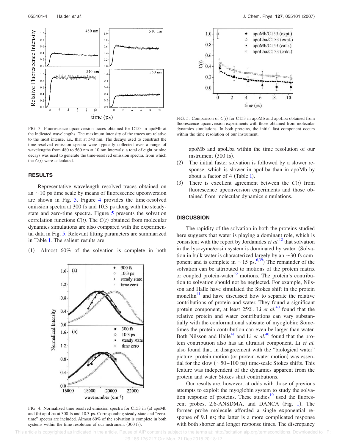

FIG. 3. Fluorescence upconversion traces obtained for C153 in apoMb at the indicated wavelengths. The maximum intensity of the traces are relative to the most intense, i.e., that at 540 nm. The decays used to construct the time-resolved emission spectra were typically collected over a range of wavelengths from 480 to 560 nm at 10 nm intervals; a total of eight or nine decays was used to generate the time-resolved emission spectra, from which the  $C(t)$  were calculated.

#### **RESULTS**

Representative wavelength resolved traces obtained on an  $\sim$ 10 ps time scale by means of fluorescence upconversion are shown in Fig. 3. Figure 4 provides the time-resolved emission spectra at 300 fs and 10.3 ps along with the steadystate and zero-time spectra. Figure 5 presents the solvation correlation functions  $C(t)$ . The  $C(t)$  obtained from molecular dynamics simulations are also compared with the experimental data in Fig. 5. Relevant fitting parameters are summarized in Table I. The salient results are

 $(1)$ Almost 60% of the solvation is complete in both



FIG. 4. Normalized time resolved emission spectra for C153 in (a) apoMb and (b) apoLba at 300 fs and 10.3 ps. Corresponding steady-state and "zerotime" spectra are included. Almost 60% of the solvation is complete in both systems within the time resolution of our instrument (300 fs).



FIG. 5. Comparison of  $C(t)$  for C153 in apoMb and apoLba obtained from fluorescence upconversion experiments with those obtained from molecular dynamics simulations. In both proteins, the initial fast component occurs within the time resolution of our instrument.

apoMb and apoLba within the time resolution of our instrument (300 fs).

- $(2)$  The initial faster solvation is followed by a slower response, which is slower in apoLba than in apoMb by about a factor of  $4$  (Table I).
- $(3)$ There is excellent agreement between the  $C(t)$  from fluorescence upconversion experiments and those obtained from molecular dynamics simulations.

#### **DISCUSSION**

The rapidity of the solvation in both the proteins studied here suggests that water is playing a dominant role, which is consistent with the report by Jordanides *et al.*<sup>12</sup> that solvation in the lysozyme/eosin system is dominated by water. (Solvation in bulk water is characterized largely by an  $\sim$  30 fs component and is complete in  $\sim$ 15 ps.<sup>6,39</sup>) The remainder of the solvation can be attributed to motions of the protein matrix or coupled protein-water $40$  motions. The protein's contribution to solvation should not be neglected. For example, Nilsson and Halle have simulated the Stokes shift in the protein monellin<sup>41</sup> and have discussed how to separate the relative contributions of protein and water. They found a significant protein component, at least 25%. Li *et al.*<sup>40</sup> found that the relative protein and water contributions can vary substantially with the conformational substate of myoglobin: Sometimes the protein contribution can even be larger than water. Both Nilsson and Halle<sup>41</sup> and Li *et al.*<sup>40</sup> found that the protein contribution also has an ultrafast component. Li *et al.* also found that, in disagreement with the "biological water" picture, protein motion (or protein-water motion) was essential for the slow  $(\sim 50-100 \text{ ps})$  time-scale Stokes shifts. This feature was independent of the dynamics apparent from the protein and water Stokes shift contributions.

Our results are, however, at odds with those of previous attempts to exploit the myoglobin system to study the solvation response of proteins. These studies $10$  used the fluorescent probes, 2,6-ANSDMA, and DANCA (Fig. 1). The former probe molecule afforded a single exponential response of 9.1 ns; the latter is a more complicated response with both shorter and longer response times. The discrepancy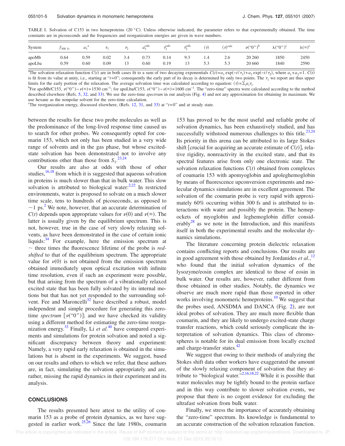TABLE I. Solvation of C153 in two hemeproteins (20 °C). Unless otherwise indicated, the parameter refers to that experimentally obtained. The time constants are in picoseconds and the frequencies and reorganization energies are given in wave numbers.

| System | $1300$ fs | a <sub>1</sub> |           | $\tau_{\gamma}$ | <sub>c</sub> calc<br>$\mathfrak{a}_1$ | calcے | $\tau_{\gamma}^{\text{calc}}$ | $\langle \tau \rangle$ | $\langle \tau \rangle^{\text{calc}}$ | $\nu$ <sup>("<math>0</math>")<sup>b</sup></sup> | $\Lambda$ <sup>("<math>0</math>")<sup>c</sup></sup> | $\lambda(\infty)^c$ |
|--------|-----------|----------------|-----------|-----------------|---------------------------------------|-------|-------------------------------|------------------------|--------------------------------------|-------------------------------------------------|-----------------------------------------------------|---------------------|
| apoMb  | 0.64      | 0.59           | 0.02      | 3.4             | 0.73                                  | 0.14  | 9.3                           | 1.4                    | 2.6                                  | 20 260                                          | 1850                                                | 2450                |
| apoLba | 0.59      | 0.60           | $_{0.09}$ | 13              | 0.60                                  | 0.19  | 13                            | 5.3                    | 5.3                                  | 20 660                                          | 1840                                                | 2590                |

<sup>a</sup>The solvation relaxation function  $C(t)$  are in both cases fit to a sum of two decaying exponentials  $C(t) = a_1 \exp(-t/\tau_1) + a_2 \exp(-t/\tau_2)$ , where  $a_1 + a_2 = 1$ .  $C(t)$ is fit from its value at unity, i.e., starting at " $t=0$ "; consequently the early part of its decay is determined by only two points. The  $\tau_1$  we report are thus upper limits for the early portion of the relaxation. The average solvation time was calculated according to equation:  $\langle \tau \rangle = \sum_i a_i \tau_i$ .

 ${}^{b}$ For apoMb/C153,  $v$ ("0") –  $v$ ( $\infty$ ) = 1530 cm<sup>-1</sup>; for apoLba/C153,  $v$ ("0") –  $v$ ( $\infty$ ) = 1600 cm<sup>-1</sup>. The "zero-time" spectra were calculated according to the method described elsewhere (Refs. 5, 32, and 33). We use the zero-time *spectrum* in our analysis (Fig. 4) and not any approximation for obtaining its maximum. We use hexane as the nonpolar solvent for the zero-time calculation.

<sup>c</sup>The reorganization energy, discussed elsewhere, (Refs. 12, 31, and 33) at "*t*=0" and at steady state.

between the results for these two probe molecules as well as the predominance of the long-lived response time caused us to search for other probes. We consequently opted for coumarin 153, which not only has been studied in a very wide range of solvents and in the gas phase, but whose excitedstate solvation has been demonstrated not to involve any contributions other than those from  $S_1$ .<sup>23,24</sup>

Our results are also at odds with those of other studies,<sup>16,18</sup> from which it is suggested that aqueous solvation in proteins is much slower than that in bulk water. This slow solvation is attributed to biological water: $2,22$  In restricted environments, water is proposed to solvate on a much slower time scale, tens to hundreds of picoseconds, as opposed to  $\sim$ 1 ps.<sup>2</sup> We note, however, that an accurate determination of  $C(t)$  depends upon appropriate values for  $\nu(0)$  and  $\nu(\infty)$ . The latter is usually given by the equilibrium spectrum. This is not, however, true in the case of very slowly relaxing solvents, as have been demonstrated in the case of certain ionic liquids: $34$  For example, here the emission spectrum at  $\sim$  three times the fluorescence lifetime of the probe is *redshifted* to that of the equilibrium spectrum. The appropriate value for  $v(0)$  is not obtained from the emission spectrum obtained immediately upon optical excitation with infinite time resolution, even if such an experiment were possible, but that arising from the spectrum of a vibrationally relaxed excited state that has been fully solvated by its internal motions but that has not yet responded to the surrounding solvent. Fee and Maroncelli<sup>32</sup> have described a robust, model independent and simple procedure for generating this zerotime *spectrum*  $[\nu("0")]$ ; and we have checked its validity using a different method for estimating the zero-time reorganization energy.<sup>33</sup> Finally, Li *et al.*<sup>40</sup> have compared experiments and simulations for protein solvation and noted a significant discrepancy between theory and experiment: Namely, a very rapid early relaxation is obtained in the simulations but is absent in the experiments. We suggest, based on our results and others to which we refer, that these authors are, in fact, simulating the solvation appropriately and are, rather, missing the rapid dynamics in their experiment and its analysis.

#### **CONCLUSIONS**

The results presented here attest to the utility of coumarin 153 as a probe of protein dynamics, as we have suggested in earlier work. $25,26$  Since the late 1980s, coumarin

153 has proved to be the most useful and reliable probe of solvation dynamics, has been exhaustively studied, and has successfully withstood numerous challenges to this title. $^{23,24}$ Its priority in this arena can be attributed to its large Stokes shift [crucial for acquiring an accurate estimate of  $C(t)$ ], relative rigidity, nonreactivity in the excited state, and that its spectral features arise from only one electronic state. The solvation relaxation functions  $C(t)$  obtained from complexes of coumarin 153 with apomyoglobin and apoleghemoglobin by means of fluorescence upconversion experiments and molecular dynamics simulations are in excellent agreement. The solvation of the coumarin probe is very rapid with approximately 60% occurring within 300 fs and is attributed to interactions with water and possibly the protein. The hemepockets of myoglobin and leghemoglobin differ considerably<sup>28</sup> as we note in the Introduction, and this manifests itself in both the experimental results and the molecular dynamics simulations.

The literature concerning protein dielectric relaxation contains conflicting reports and conclusions. Our results are in good agreement with those obtained by Jordanides *et al.*,<sup>12</sup> who found that the initial solvation dynamics of the lysozyme/eosin complex are identical to those of eosin in bulk water. Our results are, however, rather different from those obtained in other studies. Notably, the dynamics we observe are much more rapid than those reported in other works involving monomeric hemeproteins.<sup>10</sup> We suggest that the probes used, ANSDMA and DANCA (Fig. 2), are not ideal probes of solvation. They are much more flexible than coumarin, and they are likely to undergo excited-state charge transfer reactions, which could seriously complicate the interpretation of solvation dynamics. This class of chromospheres is notable for its dual emission from locally excited and charge-transfer states.<sup>42</sup>

We suggest that owing to their methods of analyzing the Stokes shift data other workers have exaggerated the amount of the slowly relaxing component of solvation that they attribute to "biological water." $\frac{1}{2}$ , 2,16,18,22 While it is possible that water molecules may be tightly bound to the protein surface and in this way contribute to slower solvation events, we propose that there is no cogent evidence for excluding the ultrafast solvation from bulk water.

Finally, we stress the importance of accurately obtaining the "zero-time" spectrum. Its knowledge is fundamental to an accurate construction of the solvation relaxation function.